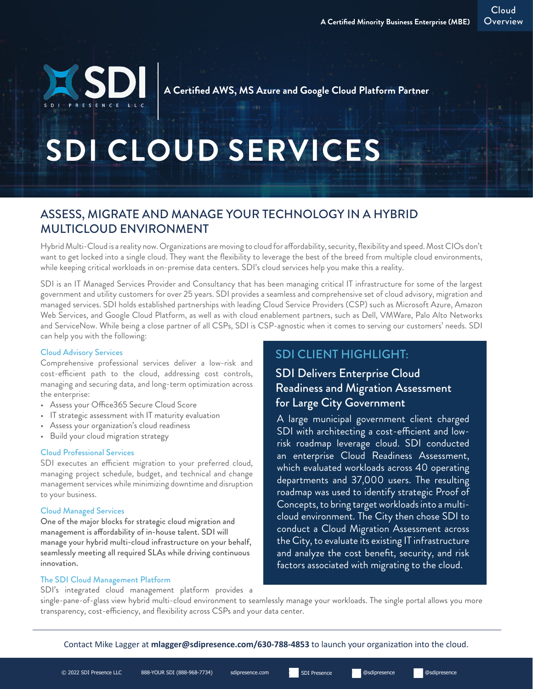Cloud Overview

**A Certified AWS, MS Azure and Google Cloud Platform Partner** 

# **SDI CLOUD SERVICES**

## ASSESS, MIGRATE AND MANAGE YOUR TECHNOLOGY IN A HYBRID MULTICLOUD ENVIRONMENT

Hybrid Multi-Cloud is a reality now. Organizations are moving to cloud for affordability, security, flexibility and speed. Most CIOs don't want to get locked into a single cloud. They want the flexibility to leverage the best of the breed from multiple cloud environments, while keeping critical workloads in on-premise data centers. SDI's cloud services help you make this a reality.

SDI is an IT Managed Services Provider and Consultancy that has been managing critical IT infrastructure for some of the largest government and utility customers for over 25 years. SDI provides a seamless and comprehensive set of cloud advisory, migration and managed services. SDI holds established partnerships with leading Cloud Service Providers (CSP) such as Microsoft Azure, Amazon Web Services, and Google Cloud Platform, as well as with cloud enablement partners, such as Dell, VMWare, Palo Alto Networks and ServiceNow. While being a close partner of all CSPs, SDI is CSP-agnostic when it comes to serving our customers' needs. SDI can help you with the following:

#### Cloud Advisory Services

Comprehensive professional services deliver a low-risk and cost-efficient path to the cloud, addressing cost controls, managing and securing data, and long-term optimization across the enterprise:

- Assess your Office365 Secure Cloud Score
- IT strategic assessment with IT maturity evaluation
- Assess your organization's cloud readiness
- Build your cloud migration strategy

#### Cloud Professional Services

SDI executes an efficient migration to your preferred cloud, managing project schedule, budget, and technical and change management services while minimizing downtime and disruption to your business.

#### Cloud Managed Services

One of the major blocks for strategic cloud migration and management is affordability of in-house talent. SDI will manage your hybrid multi-cloud infrastructure on your behalf, seamlessly meeting all required SLAs while driving continuous innovation.

# SDI CLIENT HIGHLIGHT:

### SDI Delivers Enterprise Cloud Readiness and Migration Assessment for Large City Government

A large municipal government client charged SDI with architecting a cost-efficient and lowrisk roadmap leverage cloud. SDI conducted an enterprise Cloud Readiness Assessment, which evaluated workloads across 40 operating departments and 37,000 users. The resulting roadmap was used to identify strategic Proof of Concepts, to bring target workloads into a multicloud environment. The City then chose SDI to conduct a Cloud Migration Assessment across the City, to evaluate its existing IT infrastructure and analyze the cost benefit, security, and risk factors associated with migrating to the cloud.

The SDI Cloud Management Platform

SDI's integrated cloud management platform provides a

single-pane-of-glass view hybrid multi-cloud environment to seamlessly manage your workloads. The single portal allows you more transparency, cost-efficiency, and flexibility across CSPs and your data center.

Contact Mike Lagger at **mlagger@sdipresence.com/630-788-4853** to launch your organization into the cloud.